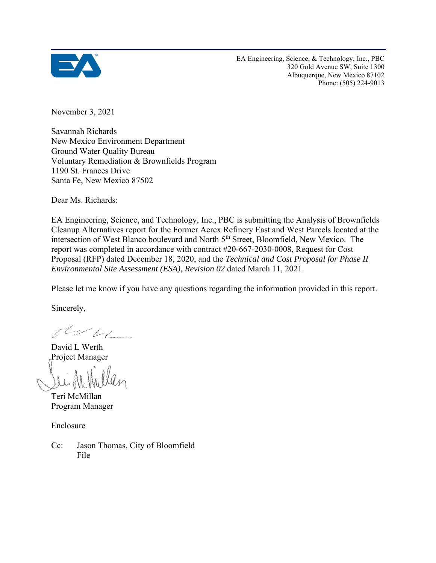

EA Engineering, Science, & Technology, Inc., PBC 320 Gold Avenue SW, Suite 1300 Albuquerque, New Mexico 87102 Phone: (505) 224-9013

November 3, 2021

Savannah Richards New Mexico Environment Department Ground Water Quality Bureau Voluntary Remediation & Brownfields Program 1190 St. Frances Drive Santa Fe, New Mexico 87502

Dear Ms. Richards:

EA Engineering, Science, and Technology, Inc., PBC is submitting the Analysis of Brownfields Cleanup Alternatives report for the Former Aerex Refinery East and West Parcels located at the intersection of West Blanco boulevard and North 5<sup>th</sup> Street, Bloomfield, New Mexico. The report was completed in accordance with contract #20-667-2030-0008, Request for Cost Proposal (RFP) dated December 18, 2020, and the *Technical and Cost Proposal for Phase II Environmental Site Assessment (ESA), Revision 02* dated March 11, 2021.

Please let me know if you have any questions regarding the information provided in this report.

Sincerely,

 $1$ 

David L Werth Project Manager

Teri McMillan Program Manager

Enclosure

Cc: Jason Thomas, City of Bloomfield File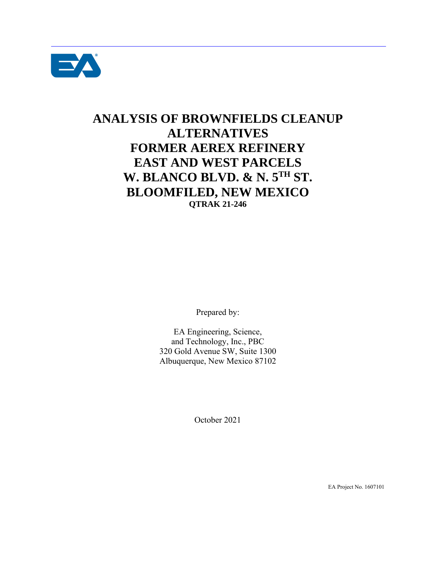

# **ANALYSIS OF BROWNFIELDS CLEANUP ALTERNATIVES FORMER AEREX REFINERY EAST AND WEST PARCELS W. BLANCO BLVD. & N. 5TH ST. BLOOMFILED, NEW MEXICO QTRAK 21-246**

Prepared by:

EA Engineering, Science, and Technology, Inc., PBC 320 Gold Avenue SW, Suite 1300 Albuquerque, New Mexico 87102

October 2021

EA Project No. 1607101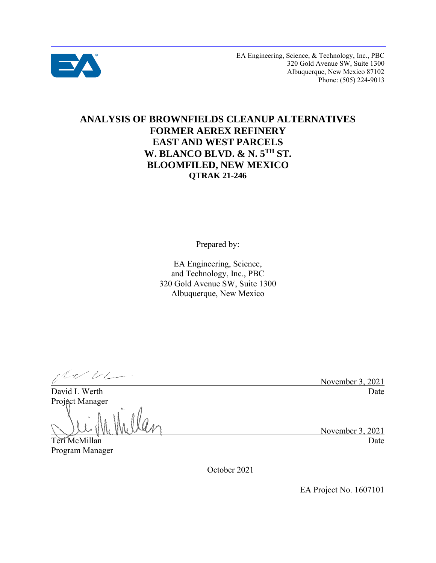

EA Engineering, Science, & Technology, Inc., PBC 320 Gold Avenue SW, Suite 1300 Albuquerque, New Mexico 87102 Phone: (505) 224-9013

#### **ANALYSIS OF BROWNFIELDS CLEANUP ALTERNATIVES FORMER AEREX REFINERY EAST AND WEST PARCELS W. BLANCO BLVD. & N. 5TH ST. BLOOMFILED, NEW MEXICO QTRAK 21-246**

Prepared by:

EA Engineering, Science, and Technology, Inc., PBC 320 Gold Avenue SW, Suite 1300 Albuquerque, New Mexico

Project Manager

Teri McMillan Date

Program Manager

November 3, 2021 David L Werth Date

November 3, 2021

October 2021

EA Project No. 1607101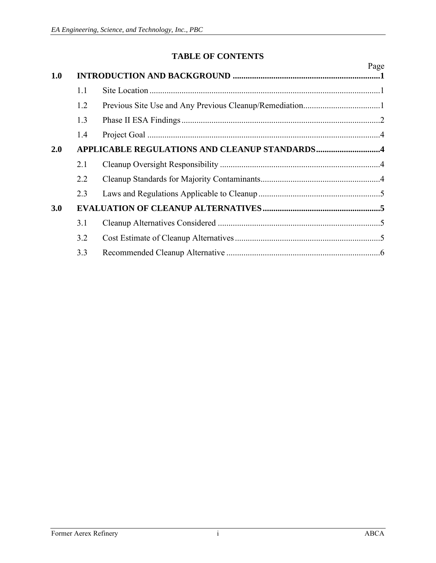## **TABLE OF CONTENTS**

| 1.0 |     |                                               | Page |
|-----|-----|-----------------------------------------------|------|
|     | 1.1 |                                               |      |
|     | 1.2 |                                               |      |
|     | 1.3 |                                               |      |
|     | 1.4 |                                               |      |
| 2.0 |     | APPLICABLE REGULATIONS AND CLEANUP STANDARDS4 |      |
|     | 2.1 |                                               |      |
|     | 2.2 |                                               |      |
|     | 2.3 |                                               |      |
| 3.0 |     |                                               |      |
|     | 3.1 |                                               |      |
|     | 3.2 |                                               |      |
|     | 3.3 |                                               |      |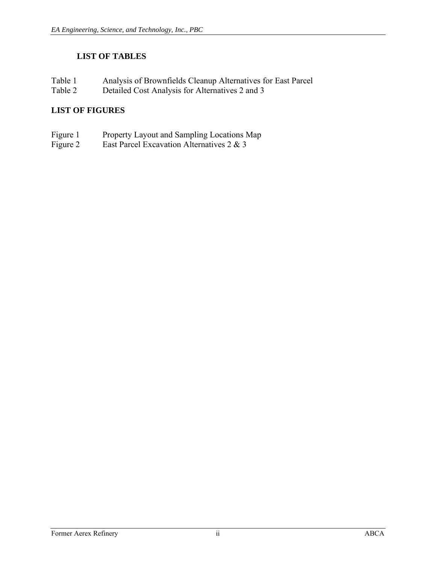## **LIST OF TABLES**

| Table 1 | Analysis of Brownfields Cleanup Alternatives for East Parcel |
|---------|--------------------------------------------------------------|
| Table 2 | Detailed Cost Analysis for Alternatives 2 and 3              |

#### **LIST OF FIGURES**

- Figure 1 Property Layout and Sampling Locations Map
- Figure 2 East Parcel Excavation Alternatives 2 & 3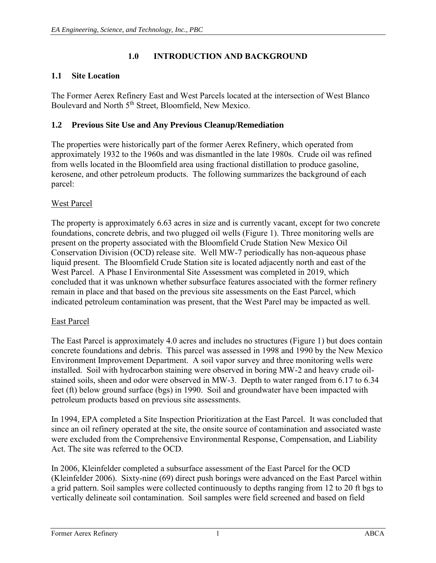#### **1.0 INTRODUCTION AND BACKGROUND**

#### <span id="page-5-1"></span><span id="page-5-0"></span>**1.1 Site Location**

The Former Aerex Refinery East and West Parcels located at the intersection of West Blanco Boulevard and North 5<sup>th</sup> Street, Bloomfield, New Mexico.

### <span id="page-5-2"></span>**1.2 Previous Site Use and Any Previous Cleanup/Remediation**

The properties were historically part of the former Aerex Refinery, which operated from approximately 1932 to the 1960s and was dismantled in the late 1980s. Crude oil was refined from wells located in the Bloomfield area using fractional distillation to produce gasoline, kerosene, and other petroleum products. The following summarizes the background of each parcel:

### West Parcel

The property is approximately 6.63 acres in size and is currently vacant, except for two concrete foundations, concrete debris, and two plugged oil wells (Figure 1). Three monitoring wells are present on the property associated with the Bloomfield Crude Station New Mexico Oil Conservation Division (OCD) release site. Well MW-7 periodically has non-aqueous phase liquid present. The Bloomfield Crude Station site is located adjacently north and east of the West Parcel. A Phase I Environmental Site Assessment was completed in 2019, which concluded that it was unknown whether subsurface features associated with the former refinery remain in place and that based on the previous site assessments on the East Parcel, which indicated petroleum contamination was present, that the West Parel may be impacted as well.

#### East Parcel

The East Parcel is approximately 4.0 acres and includes no structures (Figure 1) but does contain concrete foundations and debris. This parcel was assessed in 1998 and 1990 by the New Mexico Environment Improvement Department. A soil vapor survey and three monitoring wells were installed. Soil with hydrocarbon staining were observed in boring MW-2 and heavy crude oilstained soils, sheen and odor were observed in MW-3. Depth to water ranged from 6.17 to 6.34 feet (ft) below ground surface (bgs) in 1990. Soil and groundwater have been impacted with petroleum products based on previous site assessments.

In 1994, EPA completed a Site Inspection Prioritization at the East Parcel. It was concluded that since an oil refinery operated at the site, the onsite source of contamination and associated waste were excluded from the Comprehensive Environmental Response, Compensation, and Liability Act. The site was referred to the OCD.

In 2006, Kleinfelder completed a subsurface assessment of the East Parcel for the OCD (Kleinfelder 2006). Sixty-nine (69) direct push borings were advanced on the East Parcel within a grid pattern. Soil samples were collected continuously to depths ranging from 12 to 20 ft bgs to vertically delineate soil contamination. Soil samples were field screened and based on field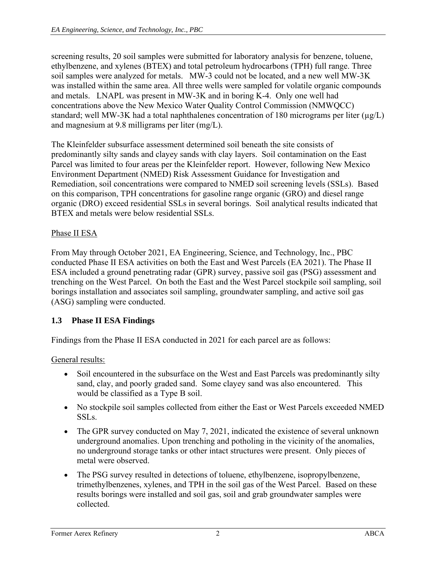screening results, 20 soil samples were submitted for laboratory analysis for benzene, toluene, ethylbenzene, and xylenes (BTEX) and total petroleum hydrocarbons (TPH) full range. Three soil samples were analyzed for metals. MW-3 could not be located, and a new well MW-3K was installed within the same area. All three wells were sampled for volatile organic compounds and metals. LNAPL was present in MW-3K and in boring K-4. Only one well had concentrations above the New Mexico Water Quality Control Commission (NMWQCC) standard; well MW-3K had a total naphthalenes concentration of 180 micrograms per liter  $(\mu g/L)$ and magnesium at 9.8 milligrams per liter (mg/L).

The Kleinfelder subsurface assessment determined soil beneath the site consists of predominantly silty sands and clayey sands with clay layers. Soil contamination on the East Parcel was limited to four areas per the Kleinfelder report. However, following New Mexico Environment Department (NMED) Risk Assessment Guidance for Investigation and Remediation, soil concentrations were compared to NMED soil screening levels (SSLs). Based on this comparison, TPH concentrations for gasoline range organic (GRO) and diesel range organic (DRO) exceed residential SSLs in several borings. Soil analytical results indicated that BTEX and metals were below residential SSLs.

#### Phase II ESA

From May through October 2021, EA Engineering, Science, and Technology, Inc., PBC conducted Phase II ESA activities on both the East and West Parcels (EA 2021). The Phase II ESA included a ground penetrating radar (GPR) survey, passive soil gas (PSG) assessment and trenching on the West Parcel. On both the East and the West Parcel stockpile soil sampling, soil borings installation and associates soil sampling, groundwater sampling, and active soil gas (ASG) sampling were conducted.

#### <span id="page-6-0"></span>**1.3 Phase II ESA Findings**

Findings from the Phase II ESA conducted in 2021 for each parcel are as follows:

General results:

- Soil encountered in the subsurface on the West and East Parcels was predominantly silty sand, clay, and poorly graded sand. Some clayey sand was also encountered. This would be classified as a Type B soil.
- No stockpile soil samples collected from either the East or West Parcels exceeded NMED SSLs.
- The GPR survey conducted on May 7, 2021, indicated the existence of several unknown underground anomalies. Upon trenching and potholing in the vicinity of the anomalies, no underground storage tanks or other intact structures were present. Only pieces of metal were observed.
- The PSG survey resulted in detections of toluene, ethylbenzene, isopropylbenzene, trimethylbenzenes, xylenes, and TPH in the soil gas of the West Parcel. Based on these results borings were installed and soil gas, soil and grab groundwater samples were collected.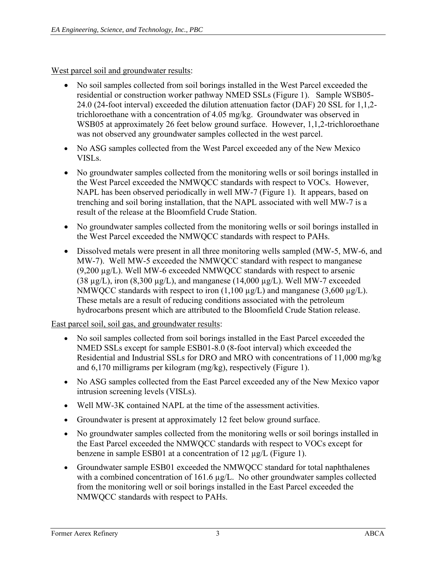West parcel soil and groundwater results:

- No soil samples collected from soil borings installed in the West Parcel exceeded the residential or construction worker pathway NMED SSLs (Figure 1). Sample WSB05- 24.0 (24-foot interval) exceeded the dilution attenuation factor (DAF) 20 SSL for 1,1,2 trichloroethane with a concentration of 4.05 mg/kg. Groundwater was observed in WSB05 at approximately 26 feet below ground surface. However, 1,1,2-trichloroethane was not observed any groundwater samples collected in the west parcel.
- No ASG samples collected from the West Parcel exceeded any of the New Mexico VISLs.
- No groundwater samples collected from the monitoring wells or soil borings installed in the West Parcel exceeded the NMWQCC standards with respect to VOCs. However, NAPL has been observed periodically in well MW-7 (Figure 1). It appears, based on trenching and soil boring installation, that the NAPL associated with well MW-7 is a result of the release at the Bloomfield Crude Station.
- No groundwater samples collected from the monitoring wells or soil borings installed in the West Parcel exceeded the NMWQCC standards with respect to PAHs.
- Dissolved metals were present in all three monitoring wells sampled (MW-5, MW-6, and MW-7). Well MW-5 exceeded the NMWQCC standard with respect to manganese (9,200 µg/L). Well MW-6 exceeded NMWQCC standards with respect to arsenic (38  $\mu$ g/L), iron (8,300  $\mu$ g/L), and manganese (14,000  $\mu$ g/L). Well MW-7 exceeded NMWQCC standards with respect to iron  $(1,100 \mu g/L)$  and manganese  $(3,600 \mu g/L)$ . These metals are a result of reducing conditions associated with the petroleum hydrocarbons present which are attributed to the Bloomfield Crude Station release.

East parcel soil, soil gas, and groundwater results:

- No soil samples collected from soil borings installed in the East Parcel exceeded the NMED SSLs except for sample ESB01-8.0 (8-foot interval) which exceeded the Residential and Industrial SSLs for DRO and MRO with concentrations of 11,000 mg/kg and 6,170 milligrams per kilogram (mg/kg), respectively (Figure 1).
- No ASG samples collected from the East Parcel exceeded any of the New Mexico vapor intrusion screening levels (VISLs).
- Well MW-3K contained NAPL at the time of the assessment activities.
- Groundwater is present at approximately 12 feet below ground surface.
- No groundwater samples collected from the monitoring wells or soil borings installed in the East Parcel exceeded the NMWQCC standards with respect to VOCs except for benzene in sample ESB01 at a concentration of 12  $\mu$ g/L (Figure 1).
- Groundwater sample ESB01 exceeded the NMWQCC standard for total naphthalenes with a combined concentration of 161.6 µg/L. No other groundwater samples collected from the monitoring well or soil borings installed in the East Parcel exceeded the NMWQCC standards with respect to PAHs.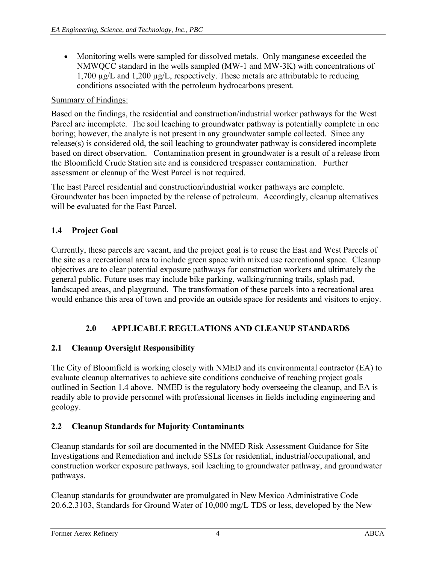• Monitoring wells were sampled for dissolved metals. Only manganese exceeded the NMWQCC standard in the wells sampled (MW-1 and MW-3K) with concentrations of 1,700 µg/L and 1,200 µg/L, respectively. These metals are attributable to reducing conditions associated with the petroleum hydrocarbons present.

#### Summary of Findings:

Based on the findings, the residential and construction/industrial worker pathways for the West Parcel are incomplete. The soil leaching to groundwater pathway is potentially complete in one boring; however, the analyte is not present in any groundwater sample collected. Since any release(s) is considered old, the soil leaching to groundwater pathway is considered incomplete based on direct observation. Contamination present in groundwater is a result of a release from the Bloomfield Crude Station site and is considered trespasser contamination. Further assessment or cleanup of the West Parcel is not required.

The East Parcel residential and construction/industrial worker pathways are complete. Groundwater has been impacted by the release of petroleum. Accordingly, cleanup alternatives will be evaluated for the East Parcel.

## <span id="page-8-0"></span>**1.4 Project Goal**

Currently, these parcels are vacant, and the project goal is to reuse the East and West Parcels of the site as a recreational area to include green space with mixed use recreational space. Cleanup objectives are to clear potential exposure pathways for construction workers and ultimately the general public. Future uses may include bike parking, walking/running trails, splash pad, landscaped areas, and playground. The transformation of these parcels into a recreational area would enhance this area of town and provide an outside space for residents and visitors to enjoy.

## **2.0 APPLICABLE REGULATIONS AND CLEANUP STANDARDS**

## <span id="page-8-2"></span><span id="page-8-1"></span>**2.1 Cleanup Oversight Responsibility**

The City of Bloomfield is working closely with NMED and its environmental contractor (EA) to evaluate cleanup alternatives to achieve site conditions conducive of reaching project goals outlined in Section 1.4 above. NMED is the regulatory body overseeing the cleanup, and EA is readily able to provide personnel with professional licenses in fields including engineering and geology.

#### <span id="page-8-3"></span>**2.2 Cleanup Standards for Majority Contaminants**

Cleanup standards for soil are documented in the NMED Risk Assessment Guidance for Site Investigations and Remediation and include SSLs for residential, industrial/occupational, and construction worker exposure pathways, soil leaching to groundwater pathway, and groundwater pathways.

Cleanup standards for groundwater are promulgated in New Mexico Administrative Code 20.6.2.3103, Standards for Ground Water of 10,000 mg/L TDS or less, developed by the New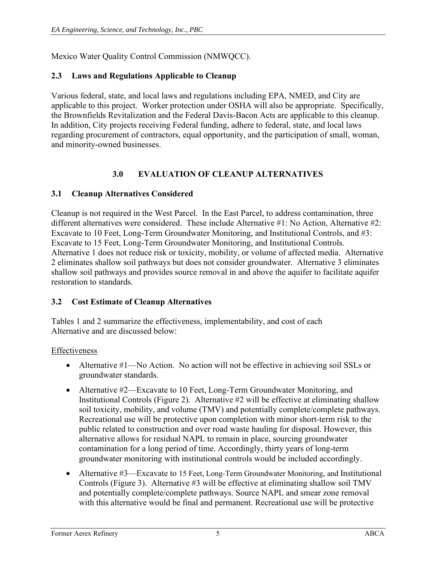Mexico Water Quality Control Commission (NMWQCC).

#### <span id="page-9-0"></span>**2.3 Laws and Regulations Applicable to Cleanup**

Various federal, state, and local laws and regulations including EPA, NMED, and City are applicable to this project. Worker protection under OSHA will also be appropriate. Specifically, the Brownfields Revitalization and the Federal Davis-Bacon Acts are applicable to this cleanup. In addition, City projects receiving Federal funding, adhere to federal, state, and local laws regarding procurement of contractors, equal opportunity, and the participation of small, woman, and minority-owned businesses.

## **3.0 EVALUATION OF CLEANUP ALTERNATIVES**

#### <span id="page-9-2"></span><span id="page-9-1"></span>**3.1 Cleanup Alternatives Considered**

Cleanup is not required in the West Parcel. In the East Parcel, to address contamination, three different alternatives were considered. These include Alternative #1: No Action, Alternative #2: Excavate to 10 Feet, Long-Term Groundwater Monitoring, and Institutional Controls, and #3: Excavate to 15 Feet, Long-Term Groundwater Monitoring, and Institutional Controls. Alternative 1 does not reduce risk or toxicity, mobility, or volume of affected media. Alternative 2 eliminates shallow soil pathways but does not consider groundwater. Alternative 3 eliminates shallow soil pathways and provides source removal in and above the aquifer to facilitate aquifer restoration to standards.

#### <span id="page-9-3"></span>**3.2 Cost Estimate of Cleanup Alternatives**

Tables 1 and 2 summarize the effectiveness, implementability, and cost of each Alternative and are discussed below:

#### Effectiveness

- Alternative #1—No Action. No action will not be effective in achieving soil SSLs or groundwater standards.
- Alternative #2—Excavate to 10 Feet, Long-Term Groundwater Monitoring, and Institutional Controls (Figure 2). Alternative #2 will be effective at eliminating shallow soil toxicity, mobility, and volume (TMV) and potentially complete/complete pathways. Recreational use will be protective upon completion with minor short-term risk to the public related to construction and over road waste hauling for disposal. However, this alternative allows for residual NAPL to remain in place, sourcing groundwater contamination for a long period of time. Accordingly, thirty years of long-term groundwater monitoring with institutional controls would be included accordingly.
- Alternative #3—Excavate to 15 Feet, Long-Term Groundwater Monitoring, and Institutional Controls (Figure 3). Alternative #3 will be effective at eliminating shallow soil TMV and potentially complete/complete pathways. Source NAPL and smear zone removal with this alternative would be final and permanent. Recreational use will be protective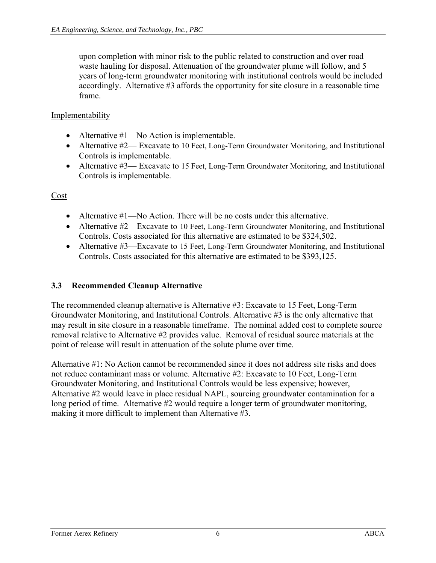upon completion with minor risk to the public related to construction and over road waste hauling for disposal. Attenuation of the groundwater plume will follow, and 5 years of long-term groundwater monitoring with institutional controls would be included accordingly. Alternative #3 affords the opportunity for site closure in a reasonable time frame.

#### Implementability

- Alternative #1—No Action is implementable.
- Alternative #2— Excavate to 10 Feet, Long-Term Groundwater Monitoring, and Institutional Controls is implementable.
- Alternative #3— Excavate to 15 Feet, Long-Term Groundwater Monitoring, and Institutional Controls is implementable.

**Cost** 

- Alternative  $#1$ —No Action. There will be no costs under this alternative.
- Alternative #2—Excavate to 10 Feet, Long-Term Groundwater Monitoring, and Institutional Controls. Costs associated for this alternative are estimated to be \$324,502.
- Alternative #3—Excavate to 15 Feet, Long-Term Groundwater Monitoring, and Institutional Controls. Costs associated for this alternative are estimated to be \$393,125.

#### <span id="page-10-0"></span>**3.3 Recommended Cleanup Alternative**

The recommended cleanup alternative is Alternative #3: Excavate to 15 Feet, Long-Term Groundwater Monitoring, and Institutional Controls. Alternative #3 is the only alternative that may result in site closure in a reasonable timeframe. The nominal added cost to complete source removal relative to Alternative #2 provides value. Removal of residual source materials at the point of release will result in attenuation of the solute plume over time.

Alternative #1: No Action cannot be recommended since it does not address site risks and does not reduce contaminant mass or volume. Alternative #2: Excavate to 10 Feet, Long-Term Groundwater Monitoring, and Institutional Controls would be less expensive; however, Alternative #2 would leave in place residual NAPL, sourcing groundwater contamination for a long period of time. Alternative #2 would require a longer term of groundwater monitoring, making it more difficult to implement than Alternative #3.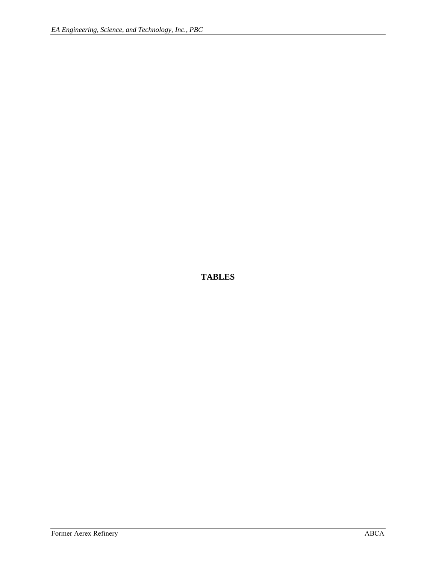**TABLES**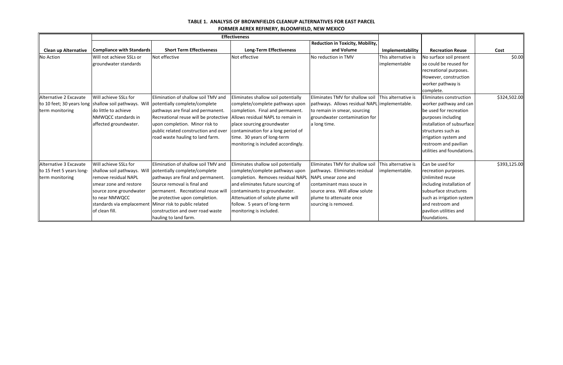#### **TABLE 1. ANALYSIS OF BROWNFIELDS CLEANUP ALTERNATIVES FOR EAST PARCEL FORMER AEREX REFINERY, BLOOMFIELD, NEW MEXICO**

|                             |                                  | <b>Effectiveness</b>                                        |                                     |                                               |                     |                            |              |
|-----------------------------|----------------------------------|-------------------------------------------------------------|-------------------------------------|-----------------------------------------------|---------------------|----------------------------|--------------|
|                             |                                  |                                                             |                                     | <b>Reduction in Toxicity, Mobility,</b>       |                     |                            |              |
| <b>Clean up Alternative</b> | <b>Compliance with Standards</b> | <b>Short Term Effectiveness</b>                             | <b>Long-Term Effectiveness</b>      | and Volume                                    | Implementability    | <b>Recreation Reuse</b>    | Cost         |
| No Action                   | Will not achieve SSLs or         | Not effective                                               | Not effective                       | No reduction in TMV                           | This alternative is | No surface soil present    | \$0.00       |
|                             | groundwater standards            |                                                             |                                     |                                               | implementable       | so could be reused for     |              |
|                             |                                  |                                                             |                                     |                                               |                     | recreational purposes.     |              |
|                             |                                  |                                                             |                                     |                                               |                     | However, construction      |              |
|                             |                                  |                                                             |                                     |                                               |                     | worker pathway is          |              |
|                             |                                  |                                                             |                                     |                                               |                     | complete.                  |              |
| Alternative 2 Excavate      | Will achieve SSLs for            | Elimination of shallow soil TMV and                         | Eliminates shallow soil potentially | Eliminates TMV for shallow soil               | This alternative is | Eliminates construction    | \$324,502.00 |
| to 10 feet; 30 years long   |                                  | shallow soil pathways. Will   potentially complete/complete | complete/complete pathways upon     | pathways. Allows residual NAPL implementable. |                     | worker pathway and can     |              |
| term monitoring             | do little to achieve             | pathways are final and permanent.                           | completion. Final and permanent.    | to remain in smear, sourcing                  |                     | be used for recreation     |              |
|                             | NMWQCC standards in              | Recreational reuse will be protective                       | Allows residual NAPL to remain in   | groundwater contamination for                 |                     | purposes including         |              |
|                             | affected groundwater.            | upon completion. Minor risk to                              | place sourcing groundwater          | a long time.                                  |                     | installation of subsurface |              |
|                             |                                  | public related construction and over                        | contamination for a long period of  |                                               |                     | structures such as         |              |
|                             |                                  | road waste hauling to land farm.                            | time. 30 years of long-term         |                                               |                     | irrigation system and      |              |
|                             |                                  |                                                             | monitoring is included accordingly. |                                               |                     | restroom and pavilian      |              |
|                             |                                  |                                                             |                                     |                                               |                     | utilities and foundations. |              |
| Alternative 3 Excavate      | Will achieve SSLs for            | Elimination of shallow soil TMV and                         | Eliminates shallow soil potentially | Eliminates TMV for shallow soil               | This alternative is | Can be used for            | \$393,125.00 |
| to 15 Feet 5 years long-    |                                  | shallow soil pathways. Will potentially complete/complete   | complete/complete pathways upon     | pathways. Eliminates residual                 | implementable.      | recreation purposes.       |              |
| term monitoring             | remove residual NAPL             | pathways are final and permanent.                           | completion. Removes residual NAPL   | NAPL smear zone and                           |                     | Unlimited reuse            |              |
|                             | smear zone and restore           | Source removal is final and                                 | and eliminates future sourcing of   | contaminant mass souce in                     |                     | including installation of  |              |
|                             | source zone groundwater          | permanent. Recreational reuse will                          | contaminants to groundwater.        | source area. Will allow solute                |                     | subsurface structures      |              |
|                             | to near NMWQCC                   | be protective upon completion.                              | Attenuation of solute plume will    | plume to attenuate once                       |                     | such as irrigation system  |              |
|                             |                                  | standards via emplacement Minor risk to public related      | follow. 5 years of long-term        | sourcing is removed.                          |                     | and restroom and           |              |
|                             | of clean fill.                   | construction and over road waste                            | monitoring is included.             |                                               |                     | pavilion utilities and     |              |
|                             |                                  | hauling to land farm.                                       |                                     |                                               |                     | foundations.               |              |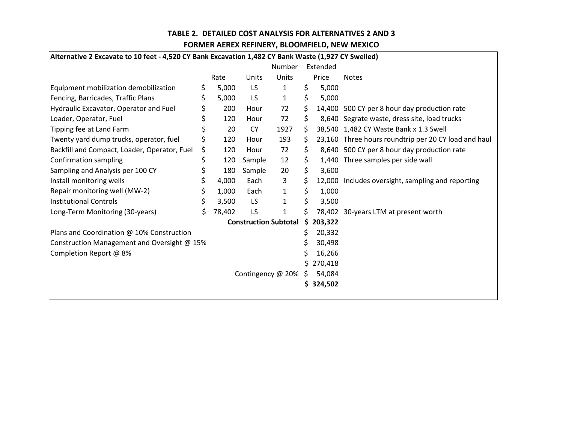#### **TABLE 2. DETAILED COST ANALYSIS FOR ALTERNATIVES 2 AND 3 FORMER AEREX REFINERY, BLOOMFIELD, NEW MEXICO**

| Alternative 2 Excavate to 10 feet - 4,520 CY Bank Excavation 1,482 CY Bank Waste (1,927 CY Swelled) |    |        |                              |              |     |           |                                                      |  |  |
|-----------------------------------------------------------------------------------------------------|----|--------|------------------------------|--------------|-----|-----------|------------------------------------------------------|--|--|
| Number                                                                                              |    |        | Extended                     |              |     |           |                                                      |  |  |
|                                                                                                     |    | Rate   | Units                        | Units        |     | Price     | <b>Notes</b>                                         |  |  |
| Equipment mobilization demobilization                                                               | \$ | 5,000  | LS.                          | 1            | \$  | 5,000     |                                                      |  |  |
| Fencing, Barricades, Traffic Plans                                                                  | \$ | 5,000  | LS.                          | $\mathbf{1}$ | \$  | 5,000     |                                                      |  |  |
| Hydraulic Excavator, Operator and Fuel                                                              | \$ | 200    | Hour                         | 72           | \$  |           | 14,400 500 CY per 8 hour day production rate         |  |  |
| Loader, Operator, Fuel                                                                              | \$ | 120    | Hour                         | 72           | \$  |           | 8,640 Segrate waste, dress site, load trucks         |  |  |
| Tipping fee at Land Farm                                                                            | \$ | 20     | <b>CY</b>                    | 1927         | \$  |           | 38,540 1,482 CY Waste Bank x 1.3 Swell               |  |  |
| Twenty yard dump trucks, operator, fuel                                                             | \$ | 120    | Hour                         | 193          | \$. |           | 23,160 Three hours roundtrip per 20 CY load and haul |  |  |
| Backfill and Compact, Loader, Operator, Fuel                                                        | \$ | 120    | Hour                         | 72           | \$. |           | 8,640 500 CY per 8 hour day production rate          |  |  |
| Confirmation sampling                                                                               | \$ | 120    | Sample                       | 12           | \$  |           | 1,440 Three samples per side wall                    |  |  |
| Sampling and Analysis per 100 CY                                                                    | \$ | 180    | Sample                       | 20           | \$. | 3,600     |                                                      |  |  |
| Install monitoring wells                                                                            | \$ | 4,000  | Each                         | 3            | \$  |           | 12,000 Includes oversight, sampling and reporting    |  |  |
| Repair monitoring well (MW-2)                                                                       | \$ | 1,000  | Each                         | $\mathbf{1}$ | \$  | 1,000     |                                                      |  |  |
| <b>Institutional Controls</b>                                                                       | \$ | 3,500  | LS.                          | $\mathbf{1}$ | \$  | 3,500     |                                                      |  |  |
| Long-Term Monitoring (30-years)                                                                     | \$ | 78,402 | LS                           | $\mathbf{1}$ | \$  |           | 78,402 30-years LTM at present worth                 |  |  |
|                                                                                                     |    |        | <b>Construction Subtotal</b> |              |     | \$203,322 |                                                      |  |  |
| Plans and Coordination @ 10% Construction                                                           |    |        |                              |              |     | 20,332    |                                                      |  |  |
| Construction Management and Oversight @ 15%                                                         |    |        |                              |              |     | 30,498    |                                                      |  |  |
| Completion Report @ 8%                                                                              |    |        |                              |              |     | 16,266    |                                                      |  |  |
|                                                                                                     |    |        |                              |              |     | \$270,418 |                                                      |  |  |
|                                                                                                     |    |        | Contingency @ 20%            |              | S.  | 54,084    |                                                      |  |  |
|                                                                                                     |    |        |                              |              |     | \$324,502 |                                                      |  |  |
|                                                                                                     |    |        |                              |              |     |           |                                                      |  |  |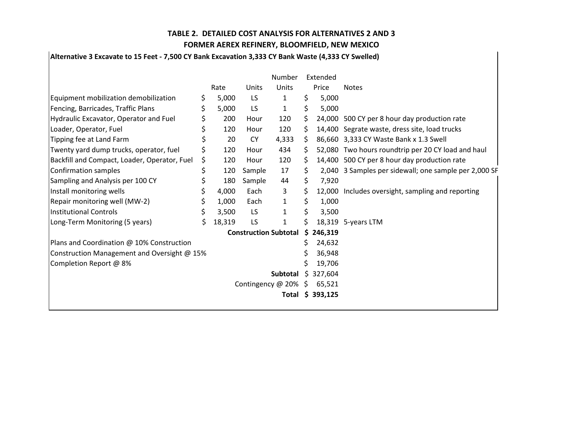#### **TABLE 2. DETAILED COST ANALYSIS FOR ALTERNATIVES 2 AND 3 FORMER AEREX REFINERY, BLOOMFIELD, NEW MEXICO**

#### **Alternative 3 Excavate to 15 Feet - 7,500 CY Bank Excavation 3,333 CY Bank Waste (4,333 CY Swelled)**

| Rate<br>\$<br>5,000<br>\$<br>5,000<br>\$<br>200<br>120<br>\$<br>20<br>\$<br>120 | <b>Units</b><br>LS<br>LS.<br>Hour<br>Hour<br><b>CY</b> | Units<br>1<br>1<br>120<br>120 | \$       | Price<br>5,000<br>5,000                           | <b>Notes</b>                                          |
|---------------------------------------------------------------------------------|--------------------------------------------------------|-------------------------------|----------|---------------------------------------------------|-------------------------------------------------------|
|                                                                                 |                                                        |                               |          |                                                   |                                                       |
|                                                                                 |                                                        |                               |          |                                                   |                                                       |
|                                                                                 |                                                        |                               |          |                                                   |                                                       |
|                                                                                 |                                                        |                               |          |                                                   | 24,000 500 CY per 8 hour day production rate          |
|                                                                                 |                                                        |                               | S        |                                                   | 14,400 Segrate waste, dress site, load trucks         |
|                                                                                 |                                                        | 4,333                         | S.       |                                                   | 86,660 3,333 CY Waste Bank x 1.3 Swell                |
|                                                                                 | Hour                                                   | 434                           |          |                                                   | 52,080 Two hours roundtrip per 20 CY load and haul    |
| \$<br>120                                                                       | Hour                                                   | 120                           | S        |                                                   | 14,400 500 CY per 8 hour day production rate          |
| \$<br>120                                                                       | Sample                                                 | 17                            | S        |                                                   | 2,040 3 Samples per sidewall; one sample per 2,000 SF |
| 180                                                                             | Sample                                                 | 44                            |          | 7,920                                             |                                                       |
| 4,000                                                                           | Each                                                   | 3                             |          |                                                   | 12,000 Includes oversight, sampling and reporting     |
| 1,000                                                                           | Each                                                   | $\mathbf{1}$                  | \$       | 1,000                                             |                                                       |
| 3,500                                                                           | LS.                                                    | $\mathbf{1}$                  |          | 3,500                                             |                                                       |
| 18,319                                                                          | LS                                                     | 1                             |          |                                                   | 18,319 5-years LTM                                    |
|                                                                                 |                                                        |                               | S        | 246,319                                           |                                                       |
|                                                                                 |                                                        |                               |          | 24,632                                            |                                                       |
|                                                                                 |                                                        |                               |          | 36,948                                            |                                                       |
|                                                                                 |                                                        |                               |          | 19,706                                            |                                                       |
|                                                                                 |                                                        |                               |          | 327,604                                           |                                                       |
|                                                                                 |                                                        |                               | -S       | 65,521                                            |                                                       |
|                                                                                 |                                                        | Total                         |          | \$393,125                                         |                                                       |
|                                                                                 | S<br>Ś.<br>Construction Management and Oversight @ 15% |                               | Subtotal | <b>Construction Subtotal</b><br>Contingency @ 20% | S.                                                    |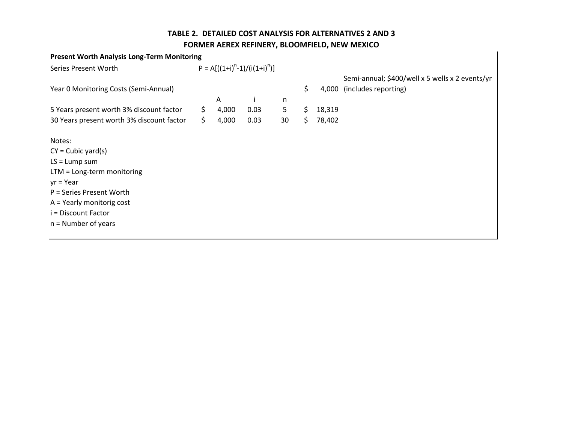#### **TABLE 2. DETAILED COST ANALYSIS FOR ALTERNATIVES 2 AND 3 FORMER AEREX REFINERY, BLOOMFIELD, NEW MEXICO**

| <b>Present Worth Analysis Long-Term Monitoring</b> |     |                                      |      |    |    |        |                                                 |
|----------------------------------------------------|-----|--------------------------------------|------|----|----|--------|-------------------------------------------------|
| Series Present Worth                               |     | $P = A[((1+i)^{n}-1)/((i(1+i)^{n})]$ |      |    |    |        |                                                 |
|                                                    |     |                                      |      |    |    |        | Semi-annual; \$400/well x 5 wells x 2 events/yr |
| Year 0 Monitoring Costs (Semi-Annual)              |     |                                      |      |    | \$ |        | 4,000 (includes reporting)                      |
|                                                    |     | Α                                    |      | n  |    |        |                                                 |
| 5 Years present worth 3% discount factor           |     | 4,000                                | 0.03 | 5  | S  | 18,319 |                                                 |
| 30 Years present worth 3% discount factor          | \$. | 4,000                                | 0.03 | 30 | S. | 78,402 |                                                 |
| Notes:                                             |     |                                      |      |    |    |        |                                                 |
| $CY = Cubic yard(s)$                               |     |                                      |      |    |    |        |                                                 |
| $LS = Lump sum$                                    |     |                                      |      |    |    |        |                                                 |
| LTM = Long-term monitoring                         |     |                                      |      |    |    |        |                                                 |
| $yr = Year$                                        |     |                                      |      |    |    |        |                                                 |
| $P =$ Series Present Worth                         |     |                                      |      |    |    |        |                                                 |
| $A = Yearly monitoring cost$                       |     |                                      |      |    |    |        |                                                 |
| $i = Discount Factor$                              |     |                                      |      |    |    |        |                                                 |
| $n =$ Number of years                              |     |                                      |      |    |    |        |                                                 |
|                                                    |     |                                      |      |    |    |        |                                                 |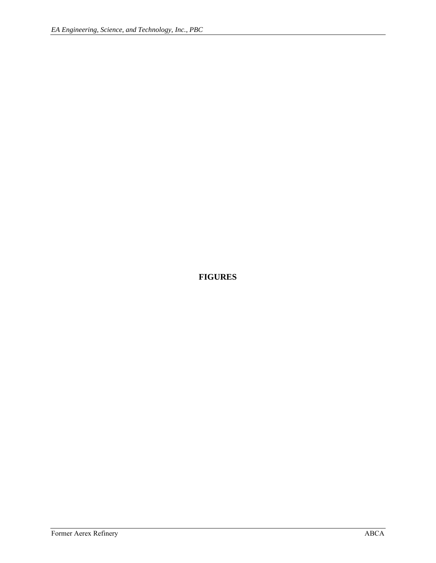**FIGURES**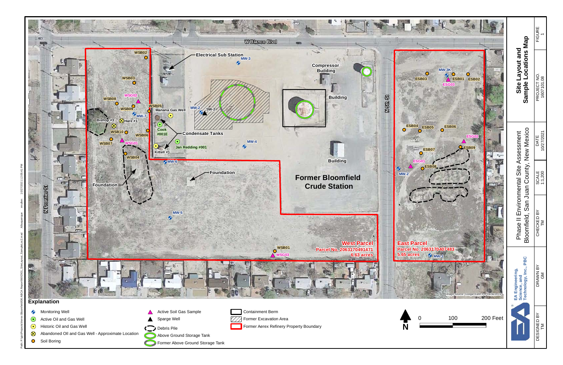

|                                                                                             |                                                            | FIGURE                    |
|---------------------------------------------------------------------------------------------|------------------------------------------------------------|---------------------------|
| MW-3K<br>$\ddot{\bullet}$<br>ESB01<br><b>ESB03</b><br>ESB02<br><b>ESG03</b>                 | Sample Locations Map<br>Site Layout and                    | PROJECT NO.<br>1607101.08 |
| 04<br><b>ESB06</b><br><b>ESB05</b><br><b>ESG02</b><br>ESB09<br><b>ESB07</b>                 |                                                            | 10/27/2021<br>DATE        |
| <b>ESG01</b><br>ESB08                                                                       | Il Environmental Site Assessment                           | SCALE<br>1:1,200          |
| <b>arcel</b>                                                                                | Bloomfield, San Juan County, New Mexico<br>Phase           | CHECKED BY                |
| No. 2063170407483<br>res<br>$\rightarrow$ MW-1<br>Image Source: Google Earth Pro 04/06/2019 | EA Engineering,<br>Science, and<br>  Technology, Inc., PBC | DRAWN BY<br>GM            |
| 100<br>200 Feet<br>0                                                                        |                                                            | DESIGNED BY<br>TM         |